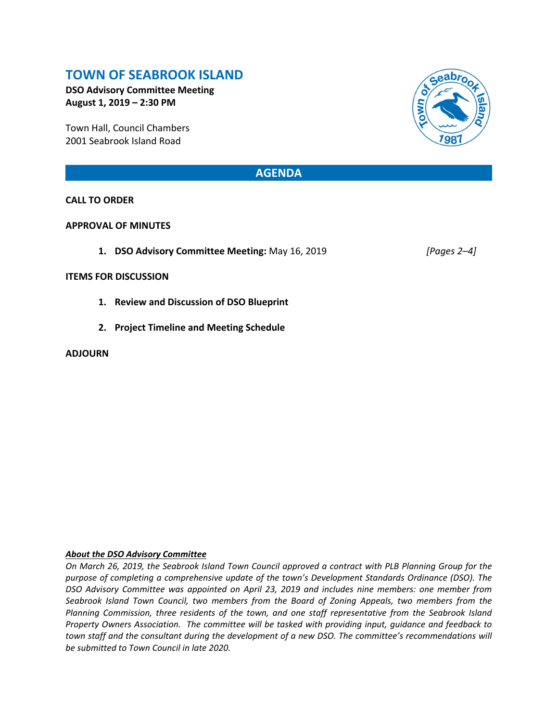# **TOWN OF SEABROOK ISLAND**

**DSO Advisory Committee Meeting August 1, 2019 – 2:30 PM** 

Town Hall, Council Chambers 2001 Seabrook Island Road

## **AGENDA**

### **CALL TO ORDER**

### **APPROVAL OF MINUTES**

**1. DSO Advisory Committee Meeting:** May 16, 2019 *[Pages 2–4]* 

#### **ITEMS FOR DISCUSSION**

- **1. Review and Discussion of DSO Blueprint**
- **2. Project Timeline and Meeting Schedule**

#### **ADJOURN**

### *About the DSO Advisory Committee*

*On March 26, 2019, the Seabrook Island Town Council approved a contract with PLB Planning Group for the purpose of completing a comprehensive update of the town's Development Standards Ordinance (DSO). The DSO Advisory Committee was appointed on April 23, 2019 and includes nine members: one member from Seabrook Island Town Council, two members from the Board of Zoning Appeals, two members from the Planning Commission, three residents of the town, and one staff representative from the Seabrook Island Property Owners Association. The committee will be tasked with providing input, guidance and feedback to town staff and the consultant during the development of a new DSO. The committee's recommendations will be submitted to Town Council in late 2020.* 

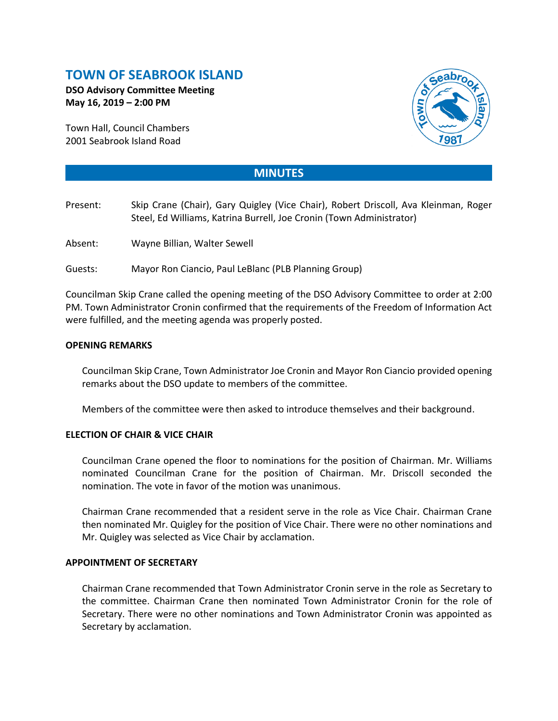# **TOWN OF SEABROOK ISLAND**

**DSO Advisory Committee Meeting May 16, 2019 – 2:00 PM**

Town Hall, Council Chambers 2001 Seabrook Island Road



## **MINUTES**

- Present: Skip Crane (Chair), Gary Quigley (Vice Chair), Robert Driscoll, Ava Kleinman, Roger Steel, Ed Williams, Katrina Burrell, Joe Cronin (Town Administrator)
- Absent: Wayne Billian, Walter Sewell
- Guests: Mayor Ron Ciancio, Paul LeBlanc (PLB Planning Group)

Councilman Skip Crane called the opening meeting of the DSO Advisory Committee to order at 2:00 PM. Town Administrator Cronin confirmed that the requirements of the Freedom of Information Act were fulfilled, and the meeting agenda was properly posted.

### **OPENING REMARKS**

Councilman Skip Crane, Town Administrator Joe Cronin and Mayor Ron Ciancio provided opening remarks about the DSO update to members of the committee.

Members of the committee were then asked to introduce themselves and their background.

### **ELECTION OF CHAIR & VICE CHAIR**

Councilman Crane opened the floor to nominations for the position of Chairman. Mr. Williams nominated Councilman Crane for the position of Chairman. Mr. Driscoll seconded the nomination. The vote in favor of the motion was unanimous.

Chairman Crane recommended that a resident serve in the role as Vice Chair. Chairman Crane then nominated Mr. Quigley for the position of Vice Chair. There were no other nominations and Mr. Quigley was selected as Vice Chair by acclamation.

### **APPOINTMENT OF SECRETARY**

Chairman Crane recommended that Town Administrator Cronin serve in the role as Secretary to the committee. Chairman Crane then nominated Town Administrator Cronin for the role of Secretary. There were no other nominations and Town Administrator Cronin was appointed as Secretary by acclamation.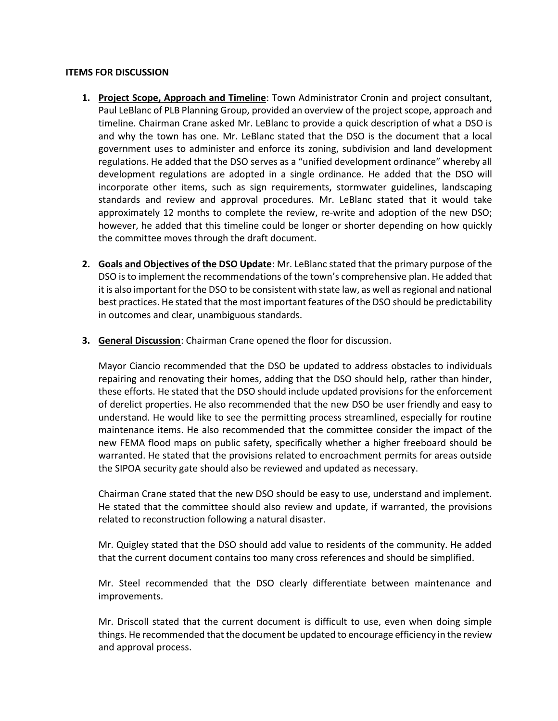### **ITEMS FOR DISCUSSION**

- **1. Project Scope, Approach and Timeline**: Town Administrator Cronin and project consultant, Paul LeBlanc of PLB Planning Group, provided an overview of the project scope, approach and timeline. Chairman Crane asked Mr. LeBlanc to provide a quick description of what a DSO is and why the town has one. Mr. LeBlanc stated that the DSO is the document that a local government uses to administer and enforce its zoning, subdivision and land development regulations. He added that the DSO serves as a "unified development ordinance" whereby all development regulations are adopted in a single ordinance. He added that the DSO will incorporate other items, such as sign requirements, stormwater guidelines, landscaping standards and review and approval procedures. Mr. LeBlanc stated that it would take approximately 12 months to complete the review, re-write and adoption of the new DSO; however, he added that this timeline could be longer or shorter depending on how quickly the committee moves through the draft document.
- **2. Goals and Objectives of the DSO Update**: Mr. LeBlanc stated that the primary purpose of the DSO is to implement the recommendations of the town's comprehensive plan. He added that it is also important for the DSO to be consistent with state law, as well as regional and national best practices. He stated that the most important features of the DSO should be predictability in outcomes and clear, unambiguous standards.
- **3. General Discussion**: Chairman Crane opened the floor for discussion.

Mayor Ciancio recommended that the DSO be updated to address obstacles to individuals repairing and renovating their homes, adding that the DSO should help, rather than hinder, these efforts. He stated that the DSO should include updated provisions for the enforcement of derelict properties. He also recommended that the new DSO be user friendly and easy to understand. He would like to see the permitting process streamlined, especially for routine maintenance items. He also recommended that the committee consider the impact of the new FEMA flood maps on public safety, specifically whether a higher freeboard should be warranted. He stated that the provisions related to encroachment permits for areas outside the SIPOA security gate should also be reviewed and updated as necessary.

Chairman Crane stated that the new DSO should be easy to use, understand and implement. He stated that the committee should also review and update, if warranted, the provisions related to reconstruction following a natural disaster.

Mr. Quigley stated that the DSO should add value to residents of the community. He added that the current document contains too many cross references and should be simplified.

Mr. Steel recommended that the DSO clearly differentiate between maintenance and improvements.

Mr. Driscoll stated that the current document is difficult to use, even when doing simple things. He recommended that the document be updated to encourage efficiency in the review and approval process.